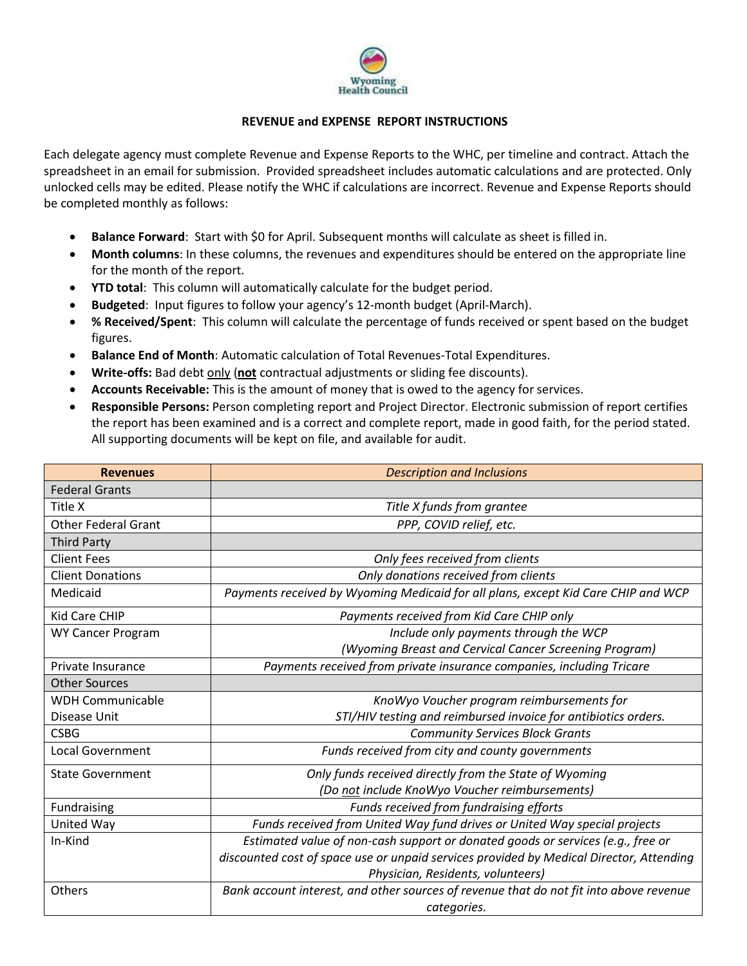

## **REVENUE and EXPENSE REPORT INSTRUCTIONS**

Each delegate agency must complete Revenue and Expense Reports to the WHC, per timeline and contract. Attach the spreadsheet in an email for submission. Provided spreadsheet includes automatic calculations and are protected. Only unlocked cells may be edited. Please notify the WHC if calculations are incorrect. Revenue and Expense Reports should be completed monthly as follows:

- **Balance Forward**: Start with \$0 for April. Subsequent months will calculate as sheet is filled in.
- **Month columns**: In these columns, the revenues and expenditures should be entered on the appropriate line for the month of the report.
- **YTD total**: This column will automatically calculate for the budget period.
- **Budgeted**: Input figures to follow your agency's 12-month budget (April-March).
- **% Received/Spent**: This column will calculate the percentage of funds received or spent based on the budget figures.
- **Balance End of Month**: Automatic calculation of Total Revenues-Total Expenditures.
- Write-offs: Bad debt only (not contractual adjustments or sliding fee discounts).
- **Accounts Receivable:** This is the amount of money that is owed to the agency for services.
- **Responsible Persons:** Person completing report and Project Director. Electronic submission of report certifies the report has been examined and is a correct and complete report, made in good faith, for the period stated. All supporting documents will be kept on file, and available for audit.

| <b>Revenues</b>            | <b>Description and Inclusions</b>                                                       |
|----------------------------|-----------------------------------------------------------------------------------------|
| <b>Federal Grants</b>      |                                                                                         |
| Title X                    | Title X funds from grantee                                                              |
| <b>Other Federal Grant</b> | PPP, COVID relief, etc.                                                                 |
| <b>Third Party</b>         |                                                                                         |
| <b>Client Fees</b>         | Only fees received from clients                                                         |
| <b>Client Donations</b>    | Only donations received from clients                                                    |
| Medicaid                   | Payments received by Wyoming Medicaid for all plans, except Kid Care CHIP and WCP       |
| <b>Kid Care CHIP</b>       | Payments received from Kid Care CHIP only                                               |
| <b>WY Cancer Program</b>   | Include only payments through the WCP                                                   |
|                            | (Wyoming Breast and Cervical Cancer Screening Program)                                  |
| Private Insurance          | Payments received from private insurance companies, including Tricare                   |
| <b>Other Sources</b>       |                                                                                         |
| <b>WDH Communicable</b>    | KnoWyo Voucher program reimbursements for                                               |
| Disease Unit               | STI/HIV testing and reimbursed invoice for antibiotics orders.                          |
| <b>CSBG</b>                | <b>Community Services Block Grants</b>                                                  |
| <b>Local Government</b>    | Funds received from city and county governments                                         |
| <b>State Government</b>    | Only funds received directly from the State of Wyoming                                  |
|                            | (Do not include KnoWyo Voucher reimbursements)                                          |
| Fundraising                | Funds received from fundraising efforts                                                 |
| United Way                 | Funds received from United Way fund drives or United Way special projects               |
| In-Kind                    | Estimated value of non-cash support or donated goods or services (e.g., free or         |
|                            | discounted cost of space use or unpaid services provided by Medical Director, Attending |
|                            | Physician, Residents, volunteers)                                                       |
| Others                     | Bank account interest, and other sources of revenue that do not fit into above revenue  |
|                            | categories.                                                                             |